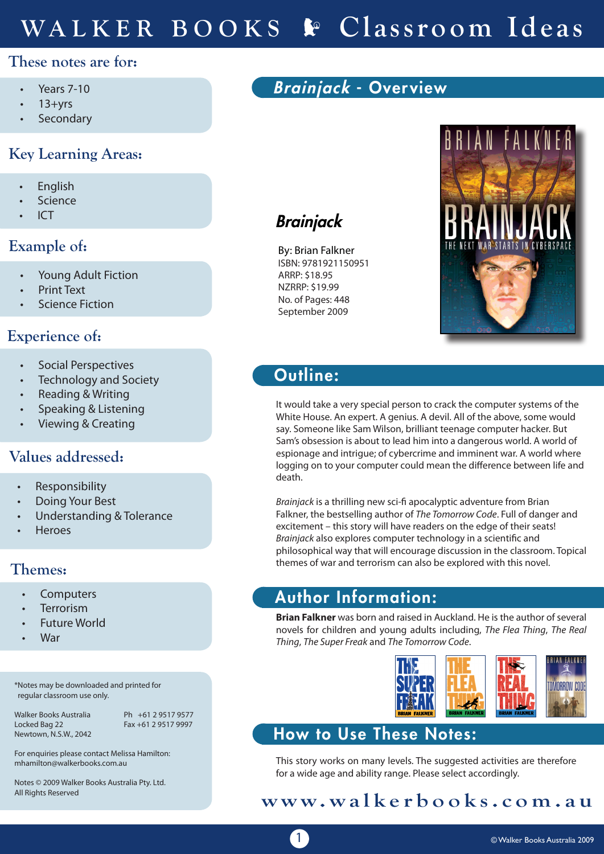# **These notes are for:**

- Years 7-10
- $13 + yrs$
- **Secondary**

# **Key Learning Areas:**

- **English**
- **Science**
- **ICT**

# **Example of:**

- Young Adult Fiction
- **Print Text**
- **Science Fiction**

# **Experience of:**

- Social Perspectives
- Technology and Society
- Reading & Writing
- Speaking & Listening
- Viewing & Creating

# **Values addressed:**

- **Responsibility**
- Doing Your Best
- Understanding & Tolerance
- **Heroes**

## **Themes:**

- **Computers**
- **Terrorism**
- **Future World**
- **War**

\*Notes may be downloaded and printed for regular classroom use only.

Newtown, N.S.W., 2042

Walker Books Australia Ph +61 2 9517 9577<br>Locked Bag 22 Fax +61 2 9517 9997  $Fax + 61 2 9517 9997$ 

For enquiries please contact Melissa Hamilton: mhamilton@walkerbooks.com.au

Notes © 2009 Walker Books Australia Pty. Ltd. All Rights Reserved

# Brainjack - Overview

# **Brainjack**

By: Brian Falkner ISBN: 9781921150951 ARRP: \$18.95 NZRRP: \$19.99 No. of Pages: 448 September 2009



# Outline:

It would take a very special person to crack the computer systems of the White House. An expert. A genius. A devil. All of the above, some would say. Someone like Sam Wilson, brilliant teenage computer hacker. But Sam's obsession is about to lead him into a dangerous world. A world of espionage and intrigue; of cybercrime and imminent war. A world where logging on to your computer could mean the difference between life and death.

*Brainjack* is a thrilling new sci-fi apocalyptic adventure from Brian Falkner, the bestselling author of *The Tomorrow Code*. Full of danger and excitement – this story will have readers on the edge of their seats! *Brainjack* also explores computer technology in a scientific and philosophical way that will encourage discussion in the classroom. Topical themes of war and terrorism can also be explored with this novel.

# Author Information:

**Brian Falkner** was born and raised in Auckland. He is the author of several novels for children and young adults including, *The Flea Thing*, *The Real Thing*, *The Super Freak* and *The Tomorrow Code*.



# How to Use These Notes:

This story works on many levels. The suggested activities are therefore for a wide age and ability range. Please select accordingly.

# **www.walkerbooks.com.au**

1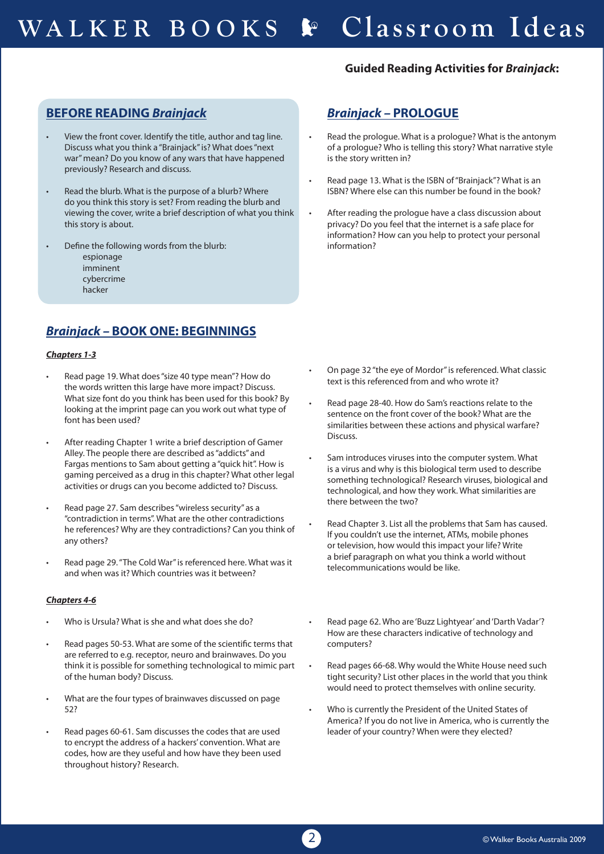### **Guided Reading Activities for** *Brainjack***:**

## **BEFORE READING** *Brainjack*

- View the front cover. Identify the title, author and tag line. Discuss what you think a "Brainjack" is? What does "next war" mean? Do you know of any wars that have happened previously? Research and discuss.
- Read the blurb. What is the purpose of a blurb? Where do you think this story is set? From reading the blurb and viewing the cover, write a brief description of what you think this story is about.
- Define the following words from the blurb:
	- espionage imminent cybercrime
	- hacker

## *Brainjack –* **BOOK ONE: BEGINNINGS**

### *Chapters 1-3*

- Read page 19. What does "size 40 type mean"? How do the words written this large have more impact? Discuss. What size font do you think has been used for this book? By looking at the imprint page can you work out what type of font has been used?
- After reading Chapter 1 write a brief description of Gamer Alley. The people there are described as "addicts" and Fargas mentions to Sam about getting a "quick hit". How is gaming perceived as a drug in this chapter? What other legal activities or drugs can you become addicted to? Discuss.
- Read page 27. Sam describes "wireless security" as a "contradiction in terms". What are the other contradictions he references? Why are they contradictions? Can you think of any others?
- Read page 29. "The Cold War" is referenced here. What was it and when was it? Which countries was it between?

### *Chapters 4-6*

- Who is Ursula? What is she and what does she do?
- Read pages 50-53. What are some of the scientific terms that are referred to e.g. receptor, neuro and brainwaves. Do you think it is possible for something technological to mimic part of the human body? Discuss.
- What are the four types of brainwaves discussed on page 52?
- Read pages 60-61. Sam discusses the codes that are used to encrypt the address of a hackers' convention. What are codes, how are they useful and how have they been used throughout history? Research.

## *Brainjack –* **PROLOGUE**

- Read the prologue. What is a prologue? What is the antonym of a prologue? Who is telling this story? What narrative style is the story written in?
- Read page 13. What is the ISBN of "Brainjack"? What is an ISBN? Where else can this number be found in the book?
- After reading the prologue have a class discussion about privacy? Do you feel that the internet is a safe place for information? How can you help to protect your personal information?

- On page 32 "the eye of Mordor" is referenced. What classic text is this referenced from and who wrote it?
- Read page 28-40. How do Sam's reactions relate to the sentence on the front cover of the book? What are the similarities between these actions and physical warfare? Discuss.
- Sam introduces viruses into the computer system. What is a virus and why is this biological term used to describe something technological? Research viruses, biological and technological, and how they work. What similarities are there between the two?
- Read Chapter 3. List all the problems that Sam has caused. If you couldn't use the internet, ATMs, mobile phones or television, how would this impact your life? Write a brief paragraph on what you think a world without telecommunications would be like.
- Read page 62. Who are 'Buzz Lightyear' and 'Darth Vadar'? How are these characters indicative of technology and computers?
- Read pages 66-68. Why would the White House need such tight security? List other places in the world that you think would need to protect themselves with online security.
- Who is currently the President of the United States of America? If you do not live in America, who is currently the leader of your country? When were they elected?

2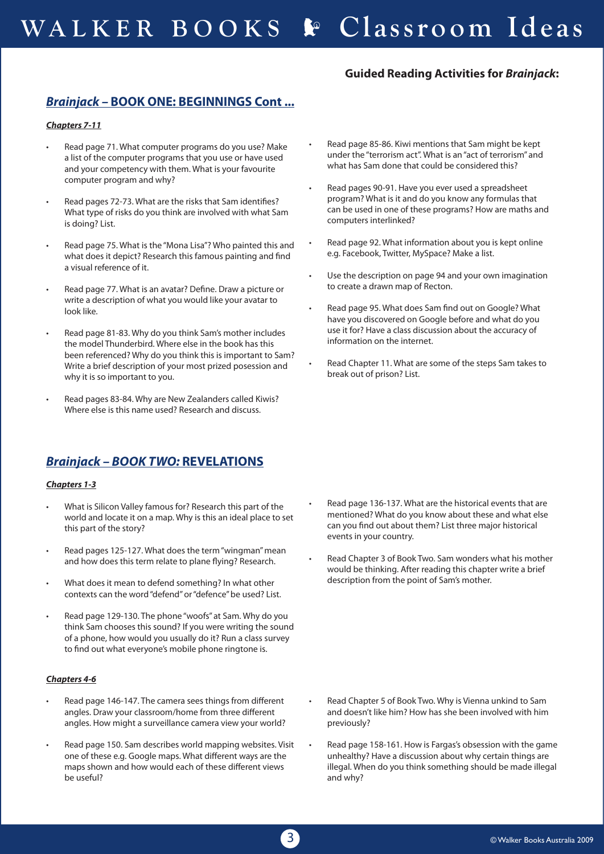### **Guided Reading Activities for** *Brainjack***:**

## *Brainjack –* **BOOK ONE: BEGINNINGS Cont ...**

### *Chapters 7-11*

- Read page 71. What computer programs do you use? Make a list of the computer programs that you use or have used and your competency with them. What is your favourite computer program and why?
- Read pages 72-73. What are the risks that Sam identifies? What type of risks do you think are involved with what Sam is doing? List.
- Read page 75. What is the "Mona Lisa"? Who painted this and what does it depict? Research this famous painting and find a visual reference of it.
- Read page 77. What is an avatar? Define. Draw a picture or write a description of what you would like your avatar to look like.
- Read page 81-83. Why do you think Sam's mother includes the model Thunderbird. Where else in the book has this been referenced? Why do you think this is important to Sam? Write a brief description of your most prized posession and why it is so important to you.
- Read pages 83-84. Why are New Zealanders called Kiwis? Where else is this name used? Research and discuss.

## *Brainjack – BOOK TWO:* **REVELATIONS**

### *Chapters 1-3*

- What is Silicon Valley famous for? Research this part of the world and locate it on a map. Why is this an ideal place to set this part of the story?
- Read pages 125-127. What does the term "wingman" mean and how does this term relate to plane flying? Research.
- What does it mean to defend something? In what other contexts can the word "defend" or "defence" be used? List.
- Read page 129-130. The phone "woofs" at Sam. Why do you think Sam chooses this sound? If you were writing the sound of a phone, how would you usually do it? Run a class survey to find out what everyone's mobile phone ringtone is.

### *Chapters 4-6*

- Read page 146-147. The camera sees things from different angles. Draw your classroom/home from three different angles. How might a surveillance camera view your world?
- Read page 150. Sam describes world mapping websites. Visit one of these e.g. Google maps. What different ways are the maps shown and how would each of these different views be useful?
- Read page 85-86. Kiwi mentions that Sam might be kept under the "terrorism act". What is an "act of terrorism" and what has Sam done that could be considered this?
- Read pages 90-91. Have you ever used a spreadsheet program? What is it and do you know any formulas that can be used in one of these programs? How are maths and computers interlinked?
- Read page 92. What information about you is kept online e.g. Facebook, Twitter, MySpace? Make a list.
- Use the description on page 94 and your own imagination to create a drawn map of Recton.
- Read page 95. What does Sam find out on Google? What have you discovered on Google before and what do you use it for? Have a class discussion about the accuracy of information on the internet.
- Read Chapter 11. What are some of the steps Sam takes to break out of prison? List.

- Read page 136-137. What are the historical events that are mentioned? What do you know about these and what else can you find out about them? List three major historical events in your country.
- Read Chapter 3 of Book Two. Sam wonders what his mother would be thinking. After reading this chapter write a brief description from the point of Sam's mother.

- Read Chapter 5 of Book Two. Why is Vienna unkind to Sam and doesn't like him? How has she been involved with him previously?
- Read page 158-161. How is Fargas's obsession with the game unhealthy? Have a discussion about why certain things are illegal. When do you think something should be made illegal and why?

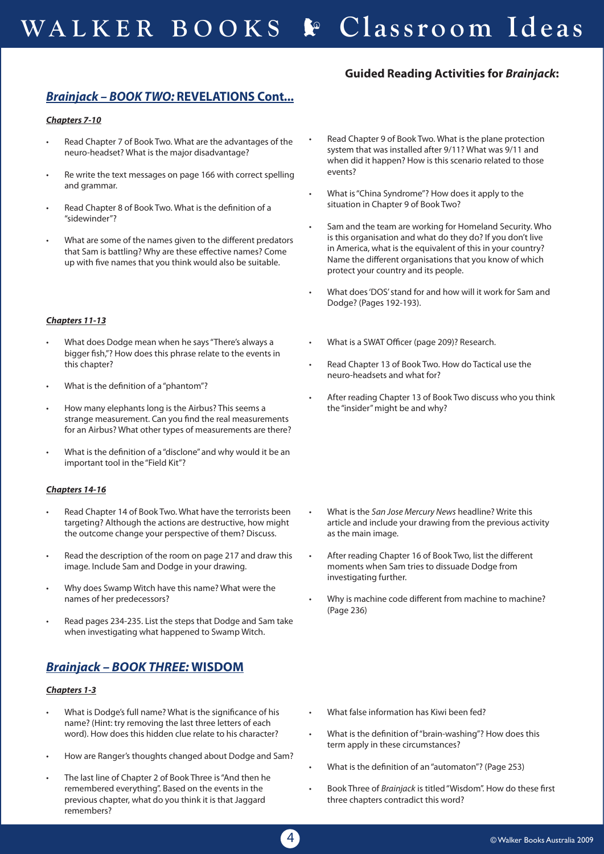### **Guided Reading Activities for** *Brainjack***:**

### *Brainjack – BOOK TWO:* **REVELATIONS Cont...**

### *Chapters 7-10*

- Read Chapter 7 of Book Two. What are the advantages of the neuro-headset? What is the major disadvantage?
- Re write the text messages on page 166 with correct spelling and grammar.
- Read Chapter 8 of Book Two. What is the definition of a "sidewinder"?
- What are some of the names given to the different predators that Sam is battling? Why are these effective names? Come up with five names that you think would also be suitable.

### *Chapters 11-13*

- What does Dodge mean when he says "There's always a bigger fish,"? How does this phrase relate to the events in this chapter?
- What is the definition of a "phantom"?
- How many elephants long is the Airbus? This seems a strange measurement. Can you find the real measurements for an Airbus? What other types of measurements are there?
- What is the definition of a "disclone" and why would it be an important tool in the "Field Kit"?

### *Chapters 14-16*

- Read Chapter 14 of Book Two. What have the terrorists been targeting? Although the actions are destructive, how might the outcome change your perspective of them? Discuss.
- Read the description of the room on page 217 and draw this image. Include Sam and Dodge in your drawing.
- Why does Swamp Witch have this name? What were the names of her predecessors?
- Read pages 234-235. List the steps that Dodge and Sam take when investigating what happened to Swamp Witch.

### *Brainjack – BOOK THREE:* **WISDOM**

### *Chapters 1-3*

- What is Dodge's full name? What is the significance of his name? (Hint: try removing the last three letters of each word). How does this hidden clue relate to his character?
- How are Ranger's thoughts changed about Dodge and Sam?
- The last line of Chapter 2 of Book Three is "And then he remembered everything". Based on the events in the previous chapter, what do you think it is that Jaggard remembers?
- Read Chapter 9 of Book Two. What is the plane protection system that was installed after 9/11? What was 9/11 and when did it happen? How is this scenario related to those events?
- What is "China Syndrome"? How does it apply to the situation in Chapter 9 of Book Two?
- Sam and the team are working for Homeland Security. Who is this organisation and what do they do? If you don't live in America, what is the equivalent of this in your country? Name the different organisations that you know of which protect your country and its people.
- What does 'DOS' stand for and how will it work for Sam and Dodge? (Pages 192-193).
- What is a SWAT Officer (page 209)? Research.
- Read Chapter 13 of Book Two. How do Tactical use the neuro-headsets and what for?
- After reading Chapter 13 of Book Two discuss who you think the "insider" might be and why?

- What is the *San Jose Mercury News* headline? Write this article and include your drawing from the previous activity as the main image.
- After reading Chapter 16 of Book Two, list the different moments when Sam tries to dissuade Dodge from investigating further.
- Why is machine code different from machine to machine? (Page 236)

- What false information has Kiwi been fed?
- What is the definition of "brain-washing"? How does this term apply in these circumstances?
- What is the definition of an "automaton"? (Page 253)
- Book Three of *Brainiack* is titled "Wisdom". How do these first three chapters contradict this word?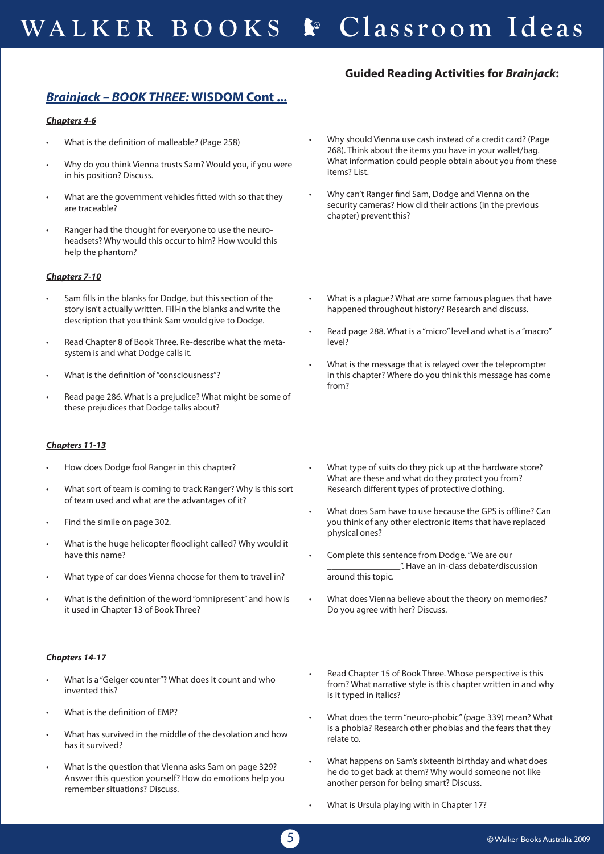### **Guided Reading Activities for** *Brainjack***:**

## *Brainjack – BOOK THREE:* **WISDOM Cont ...**

### *Chapters 4-6*

- What is the definition of malleable? (Page 258)
- Why do you think Vienna trusts Sam? Would you, if you were in his position? Discuss.
- What are the government vehicles fitted with so that they are traceable?
- Ranger had the thought for everyone to use the neuroheadsets? Why would this occur to him? How would this help the phantom?

### *Chapters 7-10*

- Sam fills in the blanks for Dodge, but this section of the story isn't actually written. Fill-in the blanks and write the description that you think Sam would give to Dodge.
- Read Chapter 8 of Book Three. Re-describe what the metasystem is and what Dodge calls it.
- What is the definition of "consciousness"?
- Read page 286. What is a prejudice? What might be some of these prejudices that Dodge talks about?

### *Chapters 11-13*

- How does Dodge fool Ranger in this chapter?
- What sort of team is coming to track Ranger? Why is this sort of team used and what are the advantages of it?
- Find the simile on page 302.
- What is the huge helicopter floodlight called? Why would it have this name?
- What type of car does Vienna choose for them to travel in?
- What is the definition of the word "omnipresent" and how is it used in Chapter 13 of Book Three?

### *Chapters 14-17*

- What is a "Geiger counter"? What does it count and who invented this?
- What is the definition of EMP?
- What has survived in the middle of the desolation and how has it survived?
- What is the question that Vienna asks Sam on page 329? Answer this question yourself? How do emotions help you remember situations? Discuss.
- Why should Vienna use cash instead of a credit card? (Page 268). Think about the items you have in your wallet/bag. What information could people obtain about you from these items? List.
- Why can't Ranger find Sam, Dodge and Vienna on the security cameras? How did their actions (in the previous chapter) prevent this?
- What is a plague? What are some famous plagues that have happened throughout history? Research and discuss.
- Read page 288. What is a "micro" level and what is a "macro" level?
- What is the message that is relayed over the teleprompter in this chapter? Where do you think this message has come from?
- What type of suits do they pick up at the hardware store? What are these and what do they protect you from? Research different types of protective clothing.
- What does Sam have to use because the GPS is offline? Can you think of any other electronic items that have replaced physical ones?
- Complete this sentence from Dodge. "We are our \_\_\_\_\_\_\_\_\_\_\_\_\_\_\_\_". Have an in-class debate/discussion around this topic.
- What does Vienna believe about the theory on memories? Do you agree with her? Discuss.
- Read Chapter 15 of Book Three. Whose perspective is this from? What narrative style is this chapter written in and why is it typed in italics?
- What does the term "neuro-phobic" (page 339) mean? What is a phobia? Research other phobias and the fears that they relate to.
- What happens on Sam's sixteenth birthday and what does he do to get back at them? Why would someone not like another person for being smart? Discuss.
- What is Ursula playing with in Chapter 17?